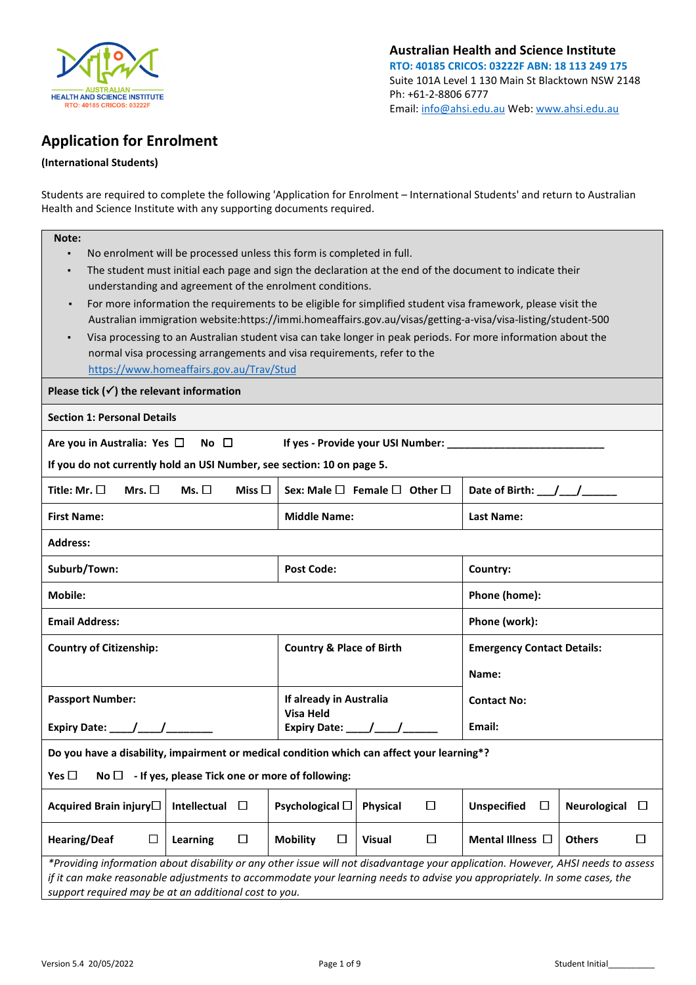

Australian Health and Science Institute RTO: 40185 CRICOS: 03222F ABN: 18 113 249 175 Suite 101A Level 1 130 Main St Blacktown NSW 2148 Ph: +61-2-8806 6777 Email: info@ahsi.edu.au Web: www.ahsi.edu.au

# Application for Enrolment

## (International Students)

Students are required to complete the following 'Application for Enrolment – International Students' and return to Australian Health and Science Institute with any supporting documents required.

| Note:                                                                                                                                                                                                                             |                                                                       |                                                                                                                                                                                                                                                                                                                    |  |  |  |  |  |  |
|-----------------------------------------------------------------------------------------------------------------------------------------------------------------------------------------------------------------------------------|-----------------------------------------------------------------------|--------------------------------------------------------------------------------------------------------------------------------------------------------------------------------------------------------------------------------------------------------------------------------------------------------------------|--|--|--|--|--|--|
| ٠                                                                                                                                                                                                                                 | No enrolment will be processed unless this form is completed in full. |                                                                                                                                                                                                                                                                                                                    |  |  |  |  |  |  |
| The student must initial each page and sign the declaration at the end of the document to indicate their<br>٠                                                                                                                     |                                                                       |                                                                                                                                                                                                                                                                                                                    |  |  |  |  |  |  |
| understanding and agreement of the enrolment conditions.                                                                                                                                                                          |                                                                       |                                                                                                                                                                                                                                                                                                                    |  |  |  |  |  |  |
| For more information the requirements to be eligible for simplified student visa framework, please visit the<br>٠<br>Australian immigration website:https://immi.homeaffairs.gov.au/visas/getting-a-visa/visa-listing/student-500 |                                                                       |                                                                                                                                                                                                                                                                                                                    |  |  |  |  |  |  |
| Visa processing to an Australian student visa can take longer in peak periods. For more information about the<br>$\blacksquare$                                                                                                   |                                                                       |                                                                                                                                                                                                                                                                                                                    |  |  |  |  |  |  |
| normal visa processing arrangements and visa requirements, refer to the                                                                                                                                                           |                                                                       |                                                                                                                                                                                                                                                                                                                    |  |  |  |  |  |  |
| https://www.homeaffairs.gov.au/Trav/Stud                                                                                                                                                                                          |                                                                       |                                                                                                                                                                                                                                                                                                                    |  |  |  |  |  |  |
| Please tick $(\checkmark)$ the relevant information                                                                                                                                                                               |                                                                       |                                                                                                                                                                                                                                                                                                                    |  |  |  |  |  |  |
| <b>Section 1: Personal Details</b>                                                                                                                                                                                                |                                                                       |                                                                                                                                                                                                                                                                                                                    |  |  |  |  |  |  |
| Are you in Australia: Yes $\square$ No $\square$                                                                                                                                                                                  |                                                                       |                                                                                                                                                                                                                                                                                                                    |  |  |  |  |  |  |
| If you do not currently hold an USI Number, see section: 10 on page 5.                                                                                                                                                            |                                                                       |                                                                                                                                                                                                                                                                                                                    |  |  |  |  |  |  |
| Title: Mr. $\square$<br>Mrs. $\Box$<br>Ms. $\Box$<br>Miss $\Box$                                                                                                                                                                  | Sex: Male □ Female □ Other □                                          | Date of Birth: $\frac{1}{2}$ $\frac{1}{2}$ $\frac{1}{2}$ $\frac{1}{2}$ $\frac{1}{2}$ $\frac{1}{2}$ $\frac{1}{2}$ $\frac{1}{2}$ $\frac{1}{2}$ $\frac{1}{2}$ $\frac{1}{2}$ $\frac{1}{2}$ $\frac{1}{2}$ $\frac{1}{2}$ $\frac{1}{2}$ $\frac{1}{2}$ $\frac{1}{2}$ $\frac{1}{2}$ $\frac{1}{2}$ $\frac{1}{2}$ $\frac{1}{$ |  |  |  |  |  |  |
| <b>First Name:</b>                                                                                                                                                                                                                | <b>Middle Name:</b>                                                   | <b>Last Name:</b>                                                                                                                                                                                                                                                                                                  |  |  |  |  |  |  |
| Address:                                                                                                                                                                                                                          |                                                                       |                                                                                                                                                                                                                                                                                                                    |  |  |  |  |  |  |
| Suburb/Town:                                                                                                                                                                                                                      | <b>Post Code:</b>                                                     | Country:                                                                                                                                                                                                                                                                                                           |  |  |  |  |  |  |
| <b>Mobile:</b>                                                                                                                                                                                                                    |                                                                       | Phone (home):                                                                                                                                                                                                                                                                                                      |  |  |  |  |  |  |
| <b>Email Address:</b>                                                                                                                                                                                                             |                                                                       | Phone (work):                                                                                                                                                                                                                                                                                                      |  |  |  |  |  |  |
| <b>Country of Citizenship:</b>                                                                                                                                                                                                    | <b>Country &amp; Place of Birth</b>                                   | <b>Emergency Contact Details:</b>                                                                                                                                                                                                                                                                                  |  |  |  |  |  |  |
|                                                                                                                                                                                                                                   |                                                                       | Name:                                                                                                                                                                                                                                                                                                              |  |  |  |  |  |  |
| <b>Passport Number:</b>                                                                                                                                                                                                           | If already in Australia                                               | <b>Contact No:</b>                                                                                                                                                                                                                                                                                                 |  |  |  |  |  |  |
|                                                                                                                                                                                                                                   | <b>Visa Held</b><br>Expiry Date: $\frac{1}{\sqrt{1-\frac{1}{2}}}$     | Email:                                                                                                                                                                                                                                                                                                             |  |  |  |  |  |  |
| Do you have a disability, impairment or medical condition which can affect your learning*?                                                                                                                                        |                                                                       |                                                                                                                                                                                                                                                                                                                    |  |  |  |  |  |  |
| Yes $\Box$<br>- If yes, please Tick one or more of following:<br>No $\square$                                                                                                                                                     |                                                                       |                                                                                                                                                                                                                                                                                                                    |  |  |  |  |  |  |
| Acquired Brain injury□<br>Intellectual<br>□                                                                                                                                                                                       | Psychological $\Box$<br>□<br><b>Physical</b>                          | <b>Unspecified</b><br>$\Box$<br>Neurological<br>□                                                                                                                                                                                                                                                                  |  |  |  |  |  |  |
| <b>Hearing/Deaf</b><br>$\Box$<br>□<br>Learning                                                                                                                                                                                    | <b>Mobility</b><br>$\Box$<br>□<br><b>Visual</b>                       | Mental Illness $\Box$<br><b>Others</b><br>□                                                                                                                                                                                                                                                                        |  |  |  |  |  |  |
| *Providing information about disability or any other issue will not disadvantage your application. However, AHSI needs to assess                                                                                                  |                                                                       |                                                                                                                                                                                                                                                                                                                    |  |  |  |  |  |  |
| if it can make reasonable adjustments to accommodate your learning needs to advise you appropriately. In some cases, the<br>support required may be at an additional cost to you.                                                 |                                                                       |                                                                                                                                                                                                                                                                                                                    |  |  |  |  |  |  |
|                                                                                                                                                                                                                                   |                                                                       |                                                                                                                                                                                                                                                                                                                    |  |  |  |  |  |  |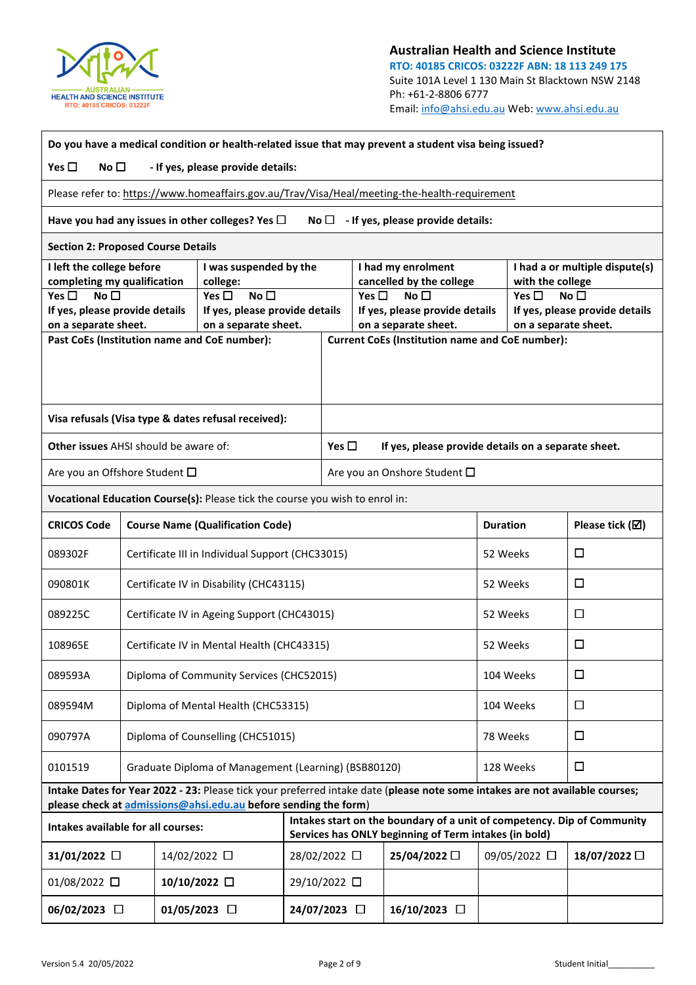

| Do you have a medical condition or health-related issue that may prevent a student visa being issued? |                                                                                               |                                             |                                                                              |  |                                  |                              |                                                                                                                                  |          |                                                        |              |  |
|-------------------------------------------------------------------------------------------------------|-----------------------------------------------------------------------------------------------|---------------------------------------------|------------------------------------------------------------------------------|--|----------------------------------|------------------------------|----------------------------------------------------------------------------------------------------------------------------------|----------|--------------------------------------------------------|--------------|--|
| Yes $\Box$<br>No $\square$<br>- If yes, please provide details:                                       |                                                                                               |                                             |                                                                              |  |                                  |                              |                                                                                                                                  |          |                                                        |              |  |
|                                                                                                       | Please refer to: https://www.homeaffairs.gov.au/Trav/Visa/Heal/meeting-the-health-requirement |                                             |                                                                              |  |                                  |                              |                                                                                                                                  |          |                                                        |              |  |
|                                                                                                       |                                                                                               |                                             | Have you had any issues in other colleges? Yes $\Box$                        |  | No $\Box$                        |                              | - If yes, please provide details:                                                                                                |          |                                                        |              |  |
|                                                                                                       | <b>Section 2: Proposed Course Details</b>                                                     |                                             |                                                                              |  |                                  |                              |                                                                                                                                  |          |                                                        |              |  |
| I left the college before<br>completing my qualification                                              |                                                                                               |                                             | I was suspended by the<br>college:                                           |  |                                  |                              | I had my enrolment<br>cancelled by the college                                                                                   |          | I had a or multiple dispute(s)<br>with the college     |              |  |
| Yes $\square$<br>No <sub>1</sub>                                                                      |                                                                                               |                                             | Yes $\square$<br>No $\square$                                                |  | Yes $\square$<br>No <sub>1</sub> |                              |                                                                                                                                  |          | Yes $\square$<br>No <sub>1</sub>                       |              |  |
| If yes, please provide details<br>on a separate sheet.                                                |                                                                                               |                                             | If yes, please provide details<br>on a separate sheet.                       |  |                                  |                              | If yes, please provide details<br>on a separate sheet.                                                                           |          | If yes, please provide details<br>on a separate sheet. |              |  |
|                                                                                                       |                                                                                               |                                             | Past CoEs (Institution name and CoE number):                                 |  |                                  |                              | <b>Current CoEs (Institution name and CoE number):</b>                                                                           |          |                                                        |              |  |
|                                                                                                       |                                                                                               |                                             |                                                                              |  |                                  |                              |                                                                                                                                  |          |                                                        |              |  |
|                                                                                                       |                                                                                               |                                             |                                                                              |  |                                  |                              |                                                                                                                                  |          |                                                        |              |  |
|                                                                                                       |                                                                                               |                                             | Visa refusals (Visa type & dates refusal received):                          |  |                                  |                              |                                                                                                                                  |          |                                                        |              |  |
| <b>Other issues</b> AHSI should be aware of:                                                          |                                                                                               |                                             |                                                                              |  | Yes $\square$                    |                              | If yes, please provide details on a separate sheet.                                                                              |          |                                                        |              |  |
| Are you an Offshore Student $\Box$                                                                    |                                                                                               |                                             |                                                                              |  |                                  | Are you an Onshore Student □ |                                                                                                                                  |          |                                                        |              |  |
|                                                                                                       |                                                                                               |                                             | Vocational Education Course(s): Please tick the course you wish to enrol in: |  |                                  |                              |                                                                                                                                  |          |                                                        |              |  |
| <b>CRICOS Code</b>                                                                                    | <b>Course Name (Qualification Code)</b><br><b>Duration</b>                                    |                                             |                                                                              |  |                                  |                              | Please tick $(\boxtimes)$                                                                                                        |          |                                                        |              |  |
| 089302F                                                                                               | Certificate III in Individual Support (CHC33015)<br>52 Weeks<br>□                             |                                             |                                                                              |  |                                  |                              |                                                                                                                                  |          |                                                        |              |  |
| 090801K                                                                                               | Certificate IV in Disability (CHC43115)                                                       |                                             |                                                                              |  |                                  |                              | 52 Weeks                                                                                                                         |          | $\Box$                                                 |              |  |
| 089225C                                                                                               |                                                                                               | Certificate IV in Ageing Support (CHC43015) |                                                                              |  |                                  |                              | 52 Weeks                                                                                                                         |          | $\Box$                                                 |              |  |
| 108965E                                                                                               |                                                                                               | Certificate IV in Mental Health (CHC43315)  |                                                                              |  |                                  |                              | 52 Weeks                                                                                                                         |          | □                                                      |              |  |
| 089593A                                                                                               |                                                                                               |                                             | Diploma of Community Services (CHC52015)                                     |  |                                  |                              |                                                                                                                                  |          | 104 Weeks                                              | $\Box$       |  |
| 089594M                                                                                               |                                                                                               |                                             | Diploma of Mental Health (CHC53315)                                          |  |                                  |                              |                                                                                                                                  |          | 104 Weeks                                              | $\Box$       |  |
| 090797A                                                                                               |                                                                                               |                                             | Diploma of Counselling (CHC51015)                                            |  |                                  |                              |                                                                                                                                  | 78 Weeks |                                                        | $\Box$       |  |
| 0101519                                                                                               |                                                                                               |                                             | Graduate Diploma of Management (Learning) (BSB80120)                         |  |                                  |                              |                                                                                                                                  |          | 128 Weeks                                              | $\Box$       |  |
|                                                                                                       |                                                                                               |                                             | please check at admissions@ahsi.edu.au before sending the form)              |  |                                  |                              | Intake Dates for Year 2022 - 23: Please tick your preferred intake date (please note some intakes are not available courses;     |          |                                                        |              |  |
| Intakes available for all courses:                                                                    |                                                                                               |                                             |                                                                              |  |                                  |                              | Intakes start on the boundary of a unit of competency. Dip of Community<br>Services has ONLY beginning of Term intakes (in bold) |          |                                                        |              |  |
| 31/01/2022 □                                                                                          |                                                                                               | 14/02/2022 □                                |                                                                              |  | 28/02/2022 □                     |                              | 25/04/2022 □                                                                                                                     |          | 09/05/2022 □                                           | 18/07/2022 □ |  |
| $01/08/2022$ $\square$                                                                                |                                                                                               |                                             | 10/10/2022 □                                                                 |  | 29/10/2022 □                     |                              |                                                                                                                                  |          |                                                        |              |  |
| 06/02/2023 口                                                                                          |                                                                                               |                                             | $01/05/2023$ $\Box$                                                          |  | 24/07/2023 □                     |                              | 16/10/2023 □                                                                                                                     |          |                                                        |              |  |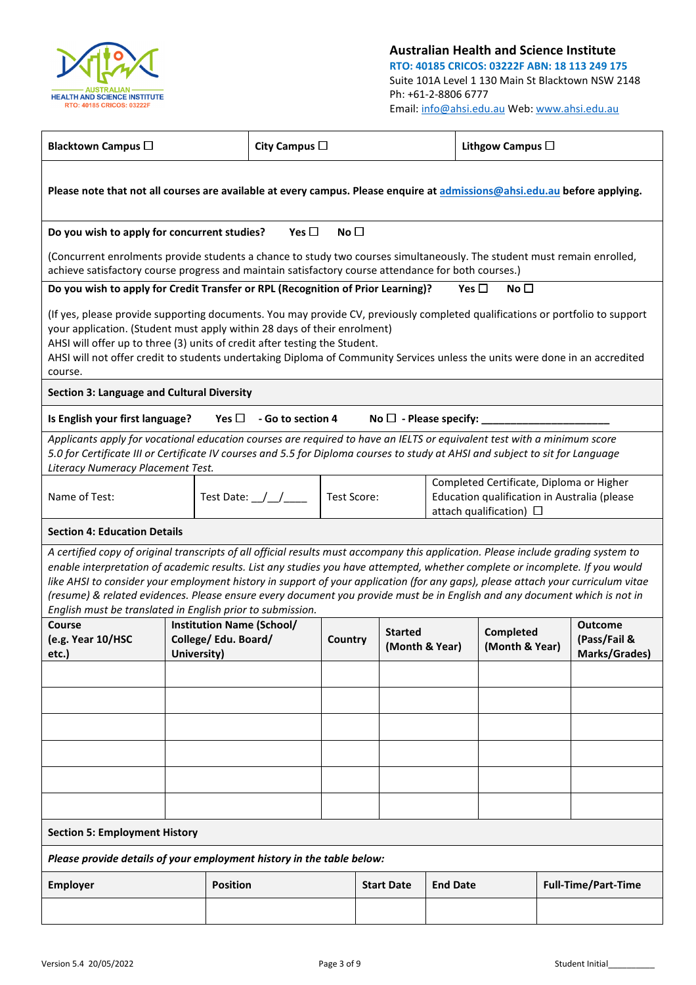

Australian Health and Science Institute RTO: 40185 CRICOS: 03222F ABN: 18 113 249 175 Suite 101A Level 1 130 Main St Blacktown NSW 2148 Ph: +61-2-8806 6777 Email: info@ahsi.edu.au Web: www.ahsi.edu.au

| <b>Blacktown Campus</b> □                                                                                                                                                                                                                                                                                                                                                                                                                                                                                                                                                                          |                                                                                                                                                                         |                      | City Campus $\Box$               |                 |  |                                     |                 |               | Lithgow Campus □            |  |                                                 |
|----------------------------------------------------------------------------------------------------------------------------------------------------------------------------------------------------------------------------------------------------------------------------------------------------------------------------------------------------------------------------------------------------------------------------------------------------------------------------------------------------------------------------------------------------------------------------------------------------|-------------------------------------------------------------------------------------------------------------------------------------------------------------------------|----------------------|----------------------------------|-----------------|--|-------------------------------------|-----------------|---------------|-----------------------------|--|-------------------------------------------------|
| Please note that not all courses are available at every campus. Please enquire at admissions@ahsi.edu.au before applying.                                                                                                                                                                                                                                                                                                                                                                                                                                                                          |                                                                                                                                                                         |                      |                                  |                 |  |                                     |                 |               |                             |  |                                                 |
| Do you wish to apply for concurrent studies?                                                                                                                                                                                                                                                                                                                                                                                                                                                                                                                                                       |                                                                                                                                                                         |                      | Yes $\square$                    | No <sub>1</sub> |  |                                     |                 |               |                             |  |                                                 |
| (Concurrent enrolments provide students a chance to study two courses simultaneously. The student must remain enrolled,<br>achieve satisfactory course progress and maintain satisfactory course attendance for both courses.)                                                                                                                                                                                                                                                                                                                                                                     |                                                                                                                                                                         |                      |                                  |                 |  |                                     |                 |               |                             |  |                                                 |
| Do you wish to apply for Credit Transfer or RPL (Recognition of Prior Learning)?                                                                                                                                                                                                                                                                                                                                                                                                                                                                                                                   |                                                                                                                                                                         |                      |                                  |                 |  |                                     |                 | Yes $\square$ | No $\square$                |  |                                                 |
| (If yes, please provide supporting documents. You may provide CV, previously completed qualifications or portfolio to support<br>your application. (Student must apply within 28 days of their enrolment)<br>AHSI will offer up to three (3) units of credit after testing the Student.<br>AHSI will not offer credit to students undertaking Diploma of Community Services unless the units were done in an accredited<br>course.                                                                                                                                                                 |                                                                                                                                                                         |                      |                                  |                 |  |                                     |                 |               |                             |  |                                                 |
| <b>Section 3: Language and Cultural Diversity</b>                                                                                                                                                                                                                                                                                                                                                                                                                                                                                                                                                  |                                                                                                                                                                         |                      |                                  |                 |  |                                     |                 |               |                             |  |                                                 |
| Is English your first language?                                                                                                                                                                                                                                                                                                                                                                                                                                                                                                                                                                    |                                                                                                                                                                         |                      | Yes $\square$ - Go to section 4  |                 |  | No $\square$ - Please specify: $\_$ |                 |               |                             |  |                                                 |
| Applicants apply for vocational education courses are required to have an IELTS or equivalent test with a minimum score<br>5.0 for Certificate III or Certificate IV courses and 5.5 for Diploma courses to study at AHSI and subject to sit for Language<br>Literacy Numeracy Placement Test.                                                                                                                                                                                                                                                                                                     |                                                                                                                                                                         |                      |                                  |                 |  |                                     |                 |               |                             |  |                                                 |
| Name of Test:                                                                                                                                                                                                                                                                                                                                                                                                                                                                                                                                                                                      | Completed Certificate, Diploma or Higher<br>Test Date: $\angle$ / ______<br>Test Score:<br>Education qualification in Australia (please<br>attach qualification) $\Box$ |                      |                                  |                 |  |                                     |                 |               |                             |  |                                                 |
| <b>Section 4: Education Details</b>                                                                                                                                                                                                                                                                                                                                                                                                                                                                                                                                                                |                                                                                                                                                                         |                      |                                  |                 |  |                                     |                 |               |                             |  |                                                 |
| A certified copy of original transcripts of all official results must accompany this application. Please include grading system to<br>enable interpretation of academic results. List any studies you have attempted, whether complete or incomplete. If you would<br>like AHSI to consider your employment history in support of your application (for any gaps), please attach your curriculum vitae<br>(resume) & related evidences. Please ensure every document you provide must be in English and any document which is not in<br>English must be translated in English prior to submission. |                                                                                                                                                                         |                      |                                  |                 |  |                                     |                 |               |                             |  |                                                 |
| Course<br>(e.g. Year 10/HSC<br>etc.)                                                                                                                                                                                                                                                                                                                                                                                                                                                                                                                                                               | University)                                                                                                                                                             | College/ Edu. Board/ | <b>Institution Name (School/</b> | Country         |  | <b>Started</b><br>(Month & Year)    |                 |               | Completed<br>(Month & Year) |  | <b>Outcome</b><br>(Pass/Fail &<br>Marks/Grades) |
|                                                                                                                                                                                                                                                                                                                                                                                                                                                                                                                                                                                                    |                                                                                                                                                                         |                      |                                  |                 |  |                                     |                 |               |                             |  |                                                 |
|                                                                                                                                                                                                                                                                                                                                                                                                                                                                                                                                                                                                    |                                                                                                                                                                         |                      |                                  |                 |  |                                     |                 |               |                             |  |                                                 |
|                                                                                                                                                                                                                                                                                                                                                                                                                                                                                                                                                                                                    |                                                                                                                                                                         |                      |                                  |                 |  |                                     |                 |               |                             |  |                                                 |
|                                                                                                                                                                                                                                                                                                                                                                                                                                                                                                                                                                                                    |                                                                                                                                                                         |                      |                                  |                 |  |                                     |                 |               |                             |  |                                                 |
|                                                                                                                                                                                                                                                                                                                                                                                                                                                                                                                                                                                                    |                                                                                                                                                                         |                      |                                  |                 |  |                                     |                 |               |                             |  |                                                 |
|                                                                                                                                                                                                                                                                                                                                                                                                                                                                                                                                                                                                    |                                                                                                                                                                         |                      |                                  |                 |  |                                     |                 |               |                             |  |                                                 |
| <b>Section 5: Employment History</b>                                                                                                                                                                                                                                                                                                                                                                                                                                                                                                                                                               |                                                                                                                                                                         |                      |                                  |                 |  |                                     |                 |               |                             |  |                                                 |
| Please provide details of your employment history in the table below:                                                                                                                                                                                                                                                                                                                                                                                                                                                                                                                              |                                                                                                                                                                         |                      |                                  |                 |  |                                     |                 |               |                             |  |                                                 |
| <b>Employer</b>                                                                                                                                                                                                                                                                                                                                                                                                                                                                                                                                                                                    |                                                                                                                                                                         | <b>Position</b>      |                                  |                 |  | <b>Start Date</b>                   | <b>End Date</b> |               |                             |  | <b>Full-Time/Part-Time</b>                      |
|                                                                                                                                                                                                                                                                                                                                                                                                                                                                                                                                                                                                    |                                                                                                                                                                         |                      |                                  |                 |  |                                     |                 |               |                             |  |                                                 |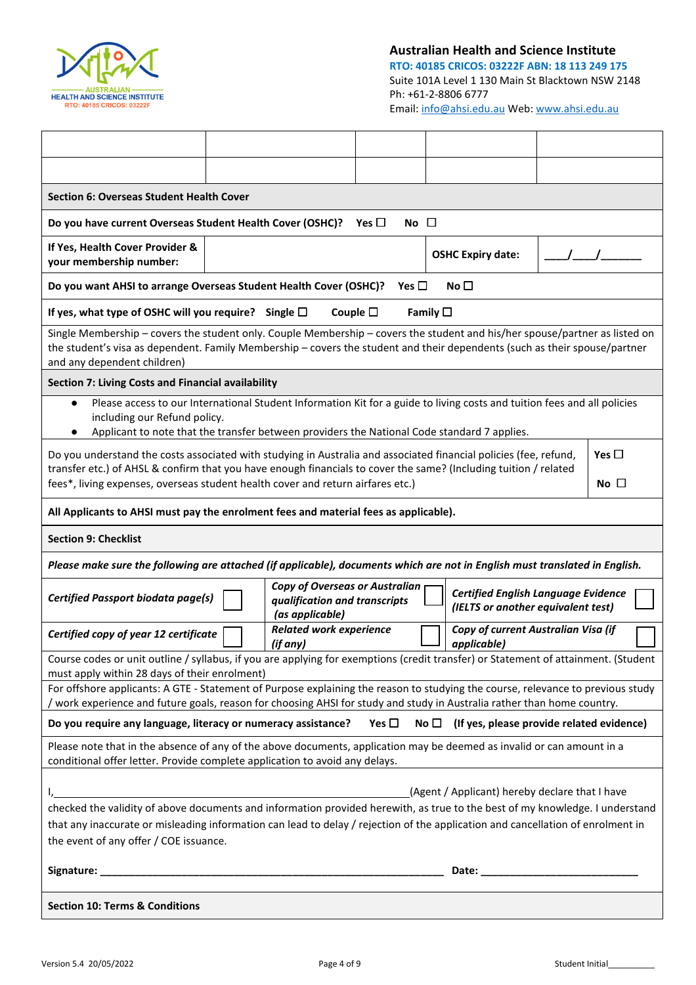

## Australian Health and Science Institute

RTO: 40185 CRICOS: 03222F ABN: 18 113 249 175 Suite 101A Level 1 130 Main St Blacktown NSW 2148 Ph: +61-2-8806 6777 Email: info@ahsi.edu.au Web: www.ahsi.edu.au

| Section 6: Overseas Student Health Cover                                                                                                                                                                                                                                                                                 |        |                                                                                           |                                                                     |                  |                                                                                  |            |                           |
|--------------------------------------------------------------------------------------------------------------------------------------------------------------------------------------------------------------------------------------------------------------------------------------------------------------------------|--------|-------------------------------------------------------------------------------------------|---------------------------------------------------------------------|------------------|----------------------------------------------------------------------------------|------------|---------------------------|
| Do you have current Overseas Student Health Cover (OSHC)?                                                                                                                                                                                                                                                                |        |                                                                                           | Yes $\Box$<br>$No$ $\Box$                                           |                  |                                                                                  |            |                           |
| If Yes, Health Cover Provider &<br>your membership number:                                                                                                                                                                                                                                                               |        |                                                                                           |                                                                     |                  | <b>OSHC Expiry date:</b>                                                         | $\sqrt{1}$ |                           |
| Do you want AHSI to arrange Overseas Student Health Cover (OSHC)?                                                                                                                                                                                                                                                        |        |                                                                                           | Yes $\Box$                                                          |                  | No $\Box$                                                                        |            |                           |
| If yes, what type of OSHC will you require? Single $\square$                                                                                                                                                                                                                                                             |        |                                                                                           | Couple $\square$                                                    | Family $\square$ |                                                                                  |            |                           |
| Single Membership - covers the student only. Couple Membership - covers the student and his/her spouse/partner as listed on<br>the student's visa as dependent. Family Membership - covers the student and their dependents (such as their spouse/partner<br>and any dependent children)                                 |        |                                                                                           |                                                                     |                  |                                                                                  |            |                           |
| Section 7: Living Costs and Financial availability                                                                                                                                                                                                                                                                       |        |                                                                                           |                                                                     |                  |                                                                                  |            |                           |
| Please access to our International Student Information Kit for a guide to living costs and tuition fees and all policies<br>$\bullet$<br>including our Refund policy.<br>Applicant to note that the transfer between providers the National Code standard 7 applies.                                                     |        |                                                                                           |                                                                     |                  |                                                                                  |            |                           |
| Do you understand the costs associated with studying in Australia and associated financial policies (fee, refund,<br>transfer etc.) of AHSL & confirm that you have enough financials to cover the same? (Including tuition / related<br>fees*, living expenses, overseas student health cover and return airfares etc.) |        |                                                                                           |                                                                     |                  |                                                                                  |            | Yes $\Box$<br>$No$ $\Box$ |
| All Applicants to AHSI must pay the enrolment fees and material fees as applicable).                                                                                                                                                                                                                                     |        |                                                                                           |                                                                     |                  |                                                                                  |            |                           |
| <b>Section 9: Checklist</b>                                                                                                                                                                                                                                                                                              |        |                                                                                           |                                                                     |                  |                                                                                  |            |                           |
| Please make sure the following are attached (if applicable), documents which are not in English must translated in English.                                                                                                                                                                                              |        |                                                                                           |                                                                     |                  |                                                                                  |            |                           |
| <b>Certified Passport biodata page(s)</b>                                                                                                                                                                                                                                                                                |        | <b>Copy of Overseas or Australian</b><br>qualification and transcripts<br>(as applicable) |                                                                     |                  | <b>Certified English Language Evidence</b><br>(IELTS or another equivalent test) |            |                           |
| Certified copy of year 12 certificate                                                                                                                                                                                                                                                                                    | لمسمعا | <b>Related work experience</b><br>(if any)                                                | $\begin{array}{c c c c} & \longmapsto & \text{applied} \end{array}$ |                  | Copy of current Australian Visa (if                                              |            |                           |
| Course codes or unit outline / syllabus, if you are applying for exemptions (credit transfer) or Statement of attainment. (Student<br>must apply within 28 days of their enrolment)                                                                                                                                      |        |                                                                                           |                                                                     |                  |                                                                                  |            |                           |
| For offshore applicants: A GTE - Statement of Purpose explaining the reason to studying the course, relevance to previous study<br>work experience and future goals, reason for choosing AHSI for study and study in Australia rather than home country.                                                                 |        |                                                                                           |                                                                     |                  |                                                                                  |            |                           |
| Do you require any language, literacy or numeracy assistance?                                                                                                                                                                                                                                                            |        |                                                                                           | Yes $\square$                                                       |                  | No $\Box$ (If yes, please provide related evidence)                              |            |                           |
| Please note that in the absence of any of the above documents, application may be deemed as invalid or can amount in a<br>conditional offer letter. Provide complete application to avoid any delays.                                                                                                                    |        |                                                                                           |                                                                     |                  |                                                                                  |            |                           |
| <u> 1980 - Johann Barbara, martxa amerikan bashkar (</u>                                                                                                                                                                                                                                                                 |        |                                                                                           |                                                                     |                  | (Agent / Applicant) hereby declare that I have                                   |            |                           |
| checked the validity of above documents and information provided herewith, as true to the best of my knowledge. I understand                                                                                                                                                                                             |        |                                                                                           |                                                                     |                  |                                                                                  |            |                           |
| that any inaccurate or misleading information can lead to delay / rejection of the application and cancellation of enrolment in<br>the event of any offer / COE issuance.                                                                                                                                                |        |                                                                                           |                                                                     |                  |                                                                                  |            |                           |
|                                                                                                                                                                                                                                                                                                                          |        |                                                                                           |                                                                     |                  |                                                                                  |            |                           |
| <b>Section 10: Terms &amp; Conditions</b>                                                                                                                                                                                                                                                                                |        |                                                                                           |                                                                     |                  |                                                                                  |            |                           |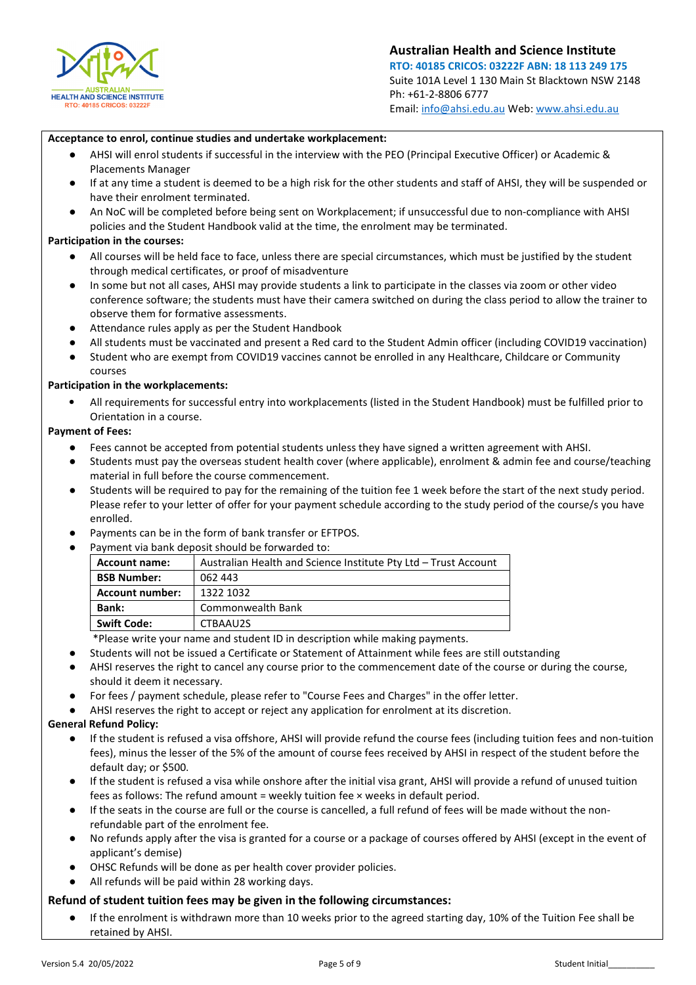

## Acceptance to enrol, continue studies and undertake workplacement:

- AHSI will enrol students if successful in the interview with the PEO (Principal Executive Officer) or Academic & Placements Manager
- If at any time a student is deemed to be a high risk for the other students and staff of AHSI, they will be suspended or have their enrolment terminated.
- An NoC will be completed before being sent on Workplacement; if unsuccessful due to non-compliance with AHSI policies and the Student Handbook valid at the time, the enrolment may be terminated.

## Participation in the courses:

- All courses will be held face to face, unless there are special circumstances, which must be justified by the student through medical certificates, or proof of misadventure
- In some but not all cases, AHSI may provide students a link to participate in the classes via zoom or other video conference software; the students must have their camera switched on during the class period to allow the trainer to observe them for formative assessments.
- Attendance rules apply as per the Student Handbook
- All students must be vaccinated and present a Red card to the Student Admin officer (including COVID19 vaccination)
- Student who are exempt from COVID19 vaccines cannot be enrolled in any Healthcare, Childcare or Community courses

## Participation in the workplacements:

• All requirements for successful entry into workplacements (listed in the Student Handbook) must be fulfilled prior to Orientation in a course.

## Payment of Fees:

- Fees cannot be accepted from potential students unless they have signed a written agreement with AHSI.
- Students must pay the overseas student health cover (where applicable), enrolment & admin fee and course/teaching material in full before the course commencement.
- Students will be required to pay for the remaining of the tuition fee 1 week before the start of the next study period. Please refer to your letter of offer for your payment schedule according to the study period of the course/s you have enrolled.
- Payments can be in the form of bank transfer or EFTPOS.
- Payment via bank deposit should be forwarded to:

| <b>Account name:</b>   | Australian Health and Science Institute Pty Ltd – Trust Account |
|------------------------|-----------------------------------------------------------------|
| <b>BSB Number:</b>     | 062 443                                                         |
| <b>Account number:</b> | 1322 1032                                                       |
| <b>Bank:</b>           | Commonwealth Bank                                               |
| <b>Swift Code:</b>     | CTBAAU2S                                                        |

\*Please write your name and student ID in description while making payments.

- Students will not be issued a Certificate or Statement of Attainment while fees are still outstanding
- AHSI reserves the right to cancel any course prior to the commencement date of the course or during the course, should it deem it necessary.
- For fees / payment schedule, please refer to "Course Fees and Charges" in the offer letter.
- AHSI reserves the right to accept or reject any application for enrolment at its discretion.

## General Refund Policy:

- If the student is refused a visa offshore, AHSI will provide refund the course fees (including tuition fees and non-tuition fees), minus the lesser of the 5% of the amount of course fees received by AHSI in respect of the student before the default day; or \$500.
- If the student is refused a visa while onshore after the initial visa grant, AHSI will provide a refund of unused tuition fees as follows: The refund amount = weekly tuition fee × weeks in default period.
- If the seats in the course are full or the course is cancelled, a full refund of fees will be made without the nonrefundable part of the enrolment fee.
- No refunds apply after the visa is granted for a course or a package of courses offered by AHSI (except in the event of applicant's demise)
- OHSC Refunds will be done as per health cover provider policies.
- All refunds will be paid within 28 working days.

## Refund of student tuition fees may be given in the following circumstances:

● If the enrolment is withdrawn more than 10 weeks prior to the agreed starting day, 10% of the Tuition Fee shall be retained by AHSI.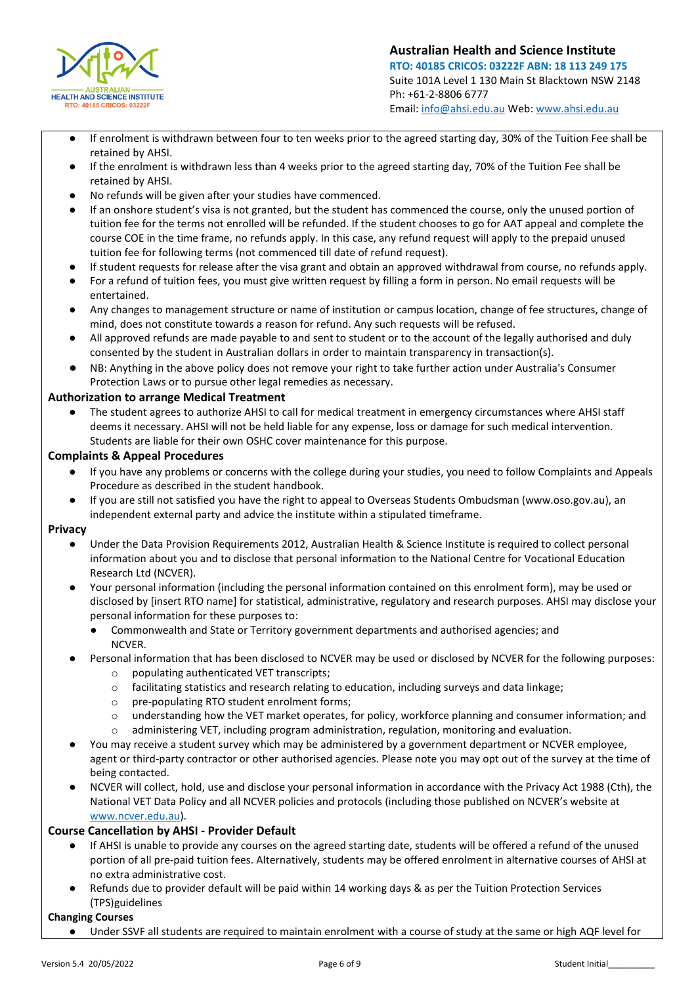

- If enrolment is withdrawn between four to ten weeks prior to the agreed starting day, 30% of the Tuition Fee shall be retained by AHSI.
- If the enrolment is withdrawn less than 4 weeks prior to the agreed starting day, 70% of the Tuition Fee shall be retained by AHSI.
- No refunds will be given after your studies have commenced.
- If an onshore student's visa is not granted, but the student has commenced the course, only the unused portion of tuition fee for the terms not enrolled will be refunded. If the student chooses to go for AAT appeal and complete the course COE in the time frame, no refunds apply. In this case, any refund request will apply to the prepaid unused tuition fee for following terms (not commenced till date of refund request).
- If student requests for release after the visa grant and obtain an approved withdrawal from course, no refunds apply.
- For a refund of tuition fees, you must give written request by filling a form in person. No email requests will be entertained.
- Any changes to management structure or name of institution or campus location, change of fee structures, change of mind, does not constitute towards a reason for refund. Any such requests will be refused.
- All approved refunds are made payable to and sent to student or to the account of the legally authorised and duly consented by the student in Australian dollars in order to maintain transparency in transaction(s).
- NB: Anything in the above policy does not remove your right to take further action under Australia's Consumer Protection Laws or to pursue other legal remedies as necessary.

## Authorization to arrange Medical Treatment

The student agrees to authorize AHSI to call for medical treatment in emergency circumstances where AHSI staff deems it necessary. AHSI will not be held liable for any expense, loss or damage for such medical intervention. Students are liable for their own OSHC cover maintenance for this purpose.

## Complaints & Appeal Procedures

- If you have any problems or concerns with the college during your studies, you need to follow Complaints and Appeals Procedure as described in the student handbook.
- If you are still not satisfied you have the right to appeal to Overseas Students Ombudsman (www.oso.gov.au), an independent external party and advice the institute within a stipulated timeframe.

## Privacy

- Under the Data Provision Requirements 2012, Australian Health & Science Institute is required to collect personal information about you and to disclose that personal information to the National Centre for Vocational Education Research Ltd (NCVER).
- Your personal information (including the personal information contained on this enrolment form), may be used or disclosed by [insert RTO name] for statistical, administrative, regulatory and research purposes. AHSI may disclose your personal information for these purposes to:
	- Commonwealth and State or Territory government departments and authorised agencies; and NCVER.
- Personal information that has been disclosed to NCVER may be used or disclosed by NCVER for the following purposes:
	- o populating authenticated VET transcripts;
	- $\circ$  facilitating statistics and research relating to education, including surveys and data linkage;
	- o pre-populating RTO student enrolment forms;
	- o understanding how the VET market operates, for policy, workforce planning and consumer information; and
	- o administering VET, including program administration, regulation, monitoring and evaluation.
- You may receive a student survey which may be administered by a government department or NCVER employee, agent or third-party contractor or other authorised agencies. Please note you may opt out of the survey at the time of being contacted.
- NCVER will collect, hold, use and disclose your personal information in accordance with the Privacy Act 1988 (Cth), the National VET Data Policy and all NCVER policies and protocols (including those published on NCVER's website at www.ncver.edu.au).

## Course Cancellation by AHSI - Provider Default

- If AHSI is unable to provide any courses on the agreed starting date, students will be offered a refund of the unused portion of all pre-paid tuition fees. Alternatively, students may be offered enrolment in alternative courses of AHSI at no extra administrative cost.
- Refunds due to provider default will be paid within 14 working days & as per the Tuition Protection Services (TPS)guidelines

## Changing Courses

Under SSVF all students are required to maintain enrolment with a course of study at the same or high AQF level for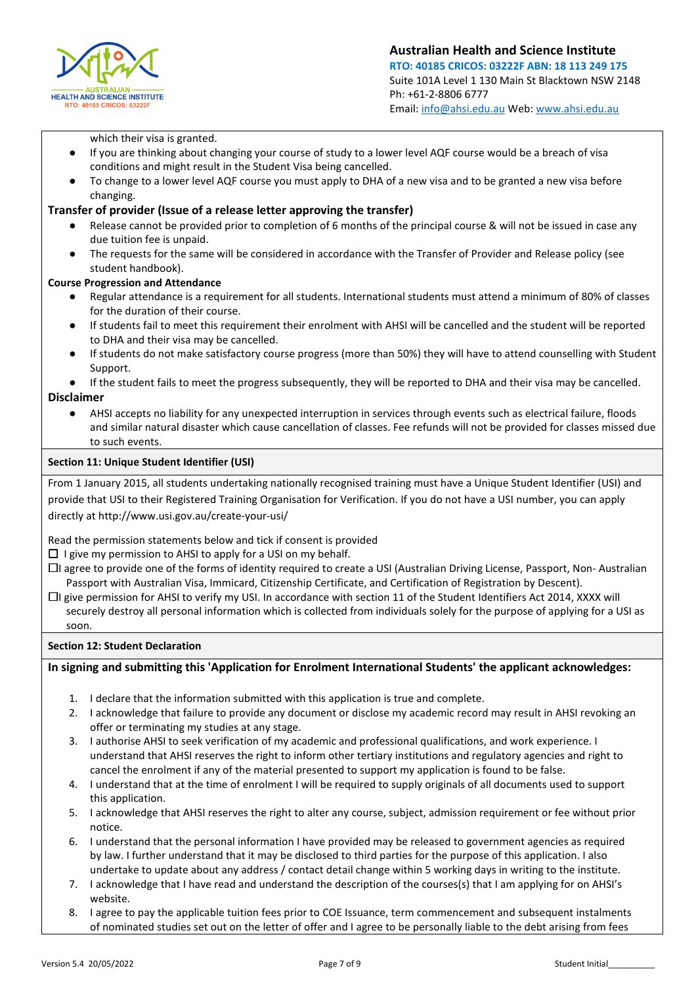

Australian Health and Science Institute RTO: 40185 CRICOS: 03222F ABN: 18 113 249 175 Suite 101A Level 1 130 Main St Blacktown NSW 2148 Ph: +61-2-8806 6777 Email: info@ahsi.edu.au Web: www.ahsi.edu.au

which their visa is granted.

- If you are thinking about changing your course of study to a lower level AQF course would be a breach of visa conditions and might result in the Student Visa being cancelled.
- To change to a lower level AQF course you must apply to DHA of a new visa and to be granted a new visa before changing.

## Transfer of provider (Issue of a release letter approving the transfer)

- Release cannot be provided prior to completion of 6 months of the principal course & will not be issued in case any due tuition fee is unpaid.
- The requests for the same will be considered in accordance with the Transfer of Provider and Release policy (see student handbook).

## Course Progression and Attendance

- Regular attendance is a requirement for all students. International students must attend a minimum of 80% of classes for the duration of their course.
- If students fail to meet this requirement their enrolment with AHSI will be cancelled and the student will be reported to DHA and their visa may be cancelled.
- If students do not make satisfactory course progress (more than 50%) they will have to attend counselling with Student Support.
- If the student fails to meet the progress subsequently, they will be reported to DHA and their visa may be cancelled.

## Disclaimer

● AHSI accepts no liability for any unexpected interruption in services through events such as electrical failure, floods and similar natural disaster which cause cancellation of classes. Fee refunds will not be provided for classes missed due to such events.

## Section 11: Unique Student Identifier (USI)

From 1 January 2015, all students undertaking nationally recognised training must have a Unique Student Identifier (USI) and provide that USI to their Registered Training Organisation for Verification. If you do not have a USI number, you can apply directly at http://www.usi.gov.au/create-your-usi/

Read the permission statements below and tick if consent is provided

 $\Box$  I give my permission to AHSI to apply for a USI on my behalf.

- □I agree to provide one of the forms of identity required to create a USI (Australian Driving License, Passport, Non-Australian Passport with Australian Visa, Immicard, Citizenship Certificate, and Certification of Registration by Descent).
- □I give permission for AHSI to verify my USI. In accordance with section 11 of the Student Identifiers Act 2014, XXXX will securely destroy all personal information which is collected from individuals solely for the purpose of applying for a USI as soon.

## Section 12: Student Declaration

## In signing and submitting this 'Application for Enrolment International Students' the applicant acknowledges:

- 1. I declare that the information submitted with this application is true and complete.
- 2. I acknowledge that failure to provide any document or disclose my academic record may result in AHSI revoking an offer or terminating my studies at any stage.
- 3. I authorise AHSI to seek verification of my academic and professional qualifications, and work experience. I understand that AHSI reserves the right to inform other tertiary institutions and regulatory agencies and right to cancel the enrolment if any of the material presented to support my application is found to be false.
- 4. I understand that at the time of enrolment I will be required to supply originals of all documents used to support this application.
- 5. I acknowledge that AHSI reserves the right to alter any course, subject, admission requirement or fee without prior notice.
- 6. I understand that the personal information I have provided may be released to government agencies as required by law. I further understand that it may be disclosed to third parties for the purpose of this application. I also undertake to update about any address / contact detail change within 5 working days in writing to the institute.
- 7. I acknowledge that I have read and understand the description of the courses(s) that I am applying for on AHSI's website.
- 8. I agree to pay the applicable tuition fees prior to COE Issuance, term commencement and subsequent instalments of nominated studies set out on the letter of offer and I agree to be personally liable to the debt arising from fees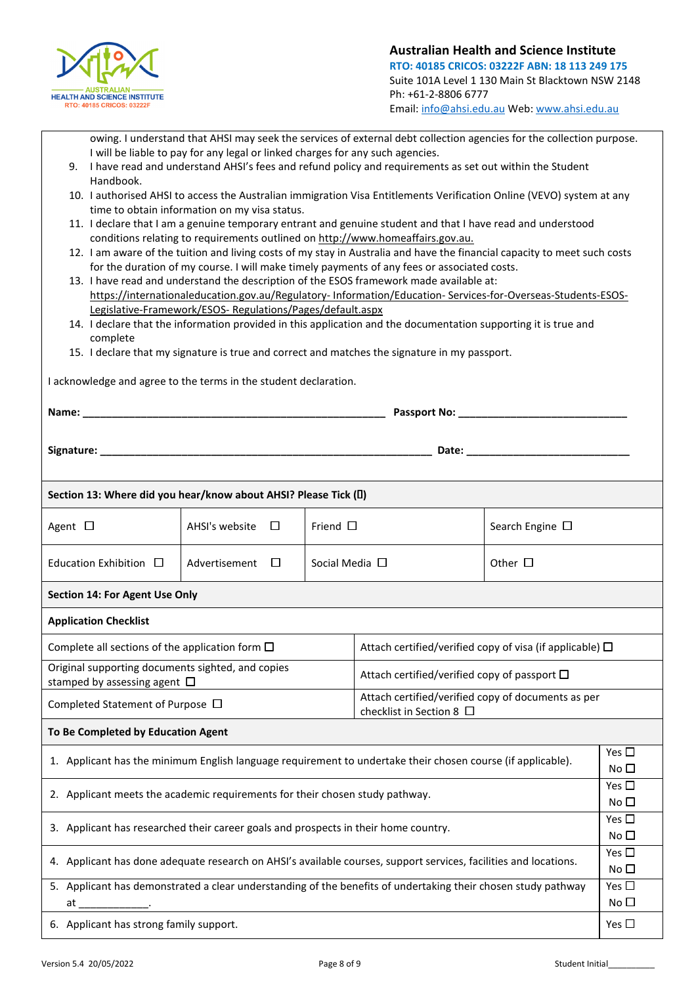

owing. I understand that AHSI may seek the services of external debt collection agencies for the collection purpose. I will be liable to pay for any legal or linked charges for any such agencies.

- 9. I have read and understand AHSI's fees and refund policy and requirements as set out within the Student Handbook.
- 10. I authorised AHSI to access the Australian immigration Visa Entitlements Verification Online (VEVO) system at any time to obtain information on my visa status.
- 11. I declare that I am a genuine temporary entrant and genuine student and that I have read and understood conditions relating to requirements outlined on http://www.homeaffairs.gov.au.
- 12. I am aware of the tuition and living costs of my stay in Australia and have the financial capacity to meet such costs for the duration of my course. I will make timely payments of any fees or associated costs.
- 13. I have read and understand the description of the ESOS framework made available at: https://internationaleducation.gov.au/Regulatory- Information/Education- Services-for-Overseas-Students-ESOS-Legislative-Framework/ESOS- Regulations/Pages/default.aspx
- 14. I declare that the information provided in this application and the documentation supporting it is true and complete
- 15. I declare that my signature is true and correct and matches the signature in my passport.

| I acknowledge and agree to the terms in the student declaration.                                                                            |                                                                |               |                                                                                                               |                                                                                                                                                                                                                                |                               |  |  |  |
|---------------------------------------------------------------------------------------------------------------------------------------------|----------------------------------------------------------------|---------------|---------------------------------------------------------------------------------------------------------------|--------------------------------------------------------------------------------------------------------------------------------------------------------------------------------------------------------------------------------|-------------------------------|--|--|--|
|                                                                                                                                             |                                                                |               |                                                                                                               |                                                                                                                                                                                                                                |                               |  |  |  |
|                                                                                                                                             |                                                                |               |                                                                                                               | Date: the contract of the contract of the contract of the contract of the contract of the contract of the contract of the contract of the contract of the contract of the contract of the contract of the contract of the cont |                               |  |  |  |
| Section 13: Where did you hear/know about AHSI? Please Tick ()                                                                              |                                                                |               |                                                                                                               |                                                                                                                                                                                                                                |                               |  |  |  |
| Agent $\Box$                                                                                                                                | AHSI's website<br>$\overline{\phantom{a}}$                     | Friend $\Box$ |                                                                                                               | Search Engine $\Box$                                                                                                                                                                                                           |                               |  |  |  |
| Education Exhibition $\square$                                                                                                              | Social Media $\Box$<br>Other $\Box$<br>Advertisement<br>$\Box$ |               |                                                                                                               |                                                                                                                                                                                                                                |                               |  |  |  |
| Section 14: For Agent Use Only                                                                                                              |                                                                |               |                                                                                                               |                                                                                                                                                                                                                                |                               |  |  |  |
| <b>Application Checklist</b>                                                                                                                |                                                                |               |                                                                                                               |                                                                                                                                                                                                                                |                               |  |  |  |
| Complete all sections of the application form $\square$<br>Attach certified/verified copy of visa (if applicable) $\Box$                    |                                                                |               |                                                                                                               |                                                                                                                                                                                                                                |                               |  |  |  |
| Original supporting documents sighted, and copies<br>Attach certified/verified copy of passport $\Box$<br>stamped by assessing agent $\Box$ |                                                                |               |                                                                                                               |                                                                                                                                                                                                                                |                               |  |  |  |
| Completed Statement of Purpose □                                                                                                            |                                                                |               | Attach certified/verified copy of documents as per<br>checklist in Section 8 $\Box$                           |                                                                                                                                                                                                                                |                               |  |  |  |
| To Be Completed by Education Agent                                                                                                          |                                                                |               |                                                                                                               |                                                                                                                                                                                                                                |                               |  |  |  |
|                                                                                                                                             |                                                                |               | 1. Applicant has the minimum English language requirement to undertake their chosen course (if applicable).   |                                                                                                                                                                                                                                | Yes $\Box$<br>No $\Box$       |  |  |  |
| 2. Applicant meets the academic requirements for their chosen study pathway.                                                                |                                                                |               |                                                                                                               |                                                                                                                                                                                                                                | Yes $\Box$<br>No <sub>1</sub> |  |  |  |
| 3. Applicant has researched their career goals and prospects in their home country.                                                         |                                                                |               |                                                                                                               |                                                                                                                                                                                                                                |                               |  |  |  |
| 4. Applicant has done adequate research on AHSI's available courses, support services, facilities and locations.                            |                                                                |               |                                                                                                               |                                                                                                                                                                                                                                |                               |  |  |  |
| at                                                                                                                                          |                                                                |               | 5. Applicant has demonstrated a clear understanding of the benefits of undertaking their chosen study pathway |                                                                                                                                                                                                                                | Yes $\square$<br>No $\square$ |  |  |  |
| 6. Applicant has strong family support.<br>Yes $\Box$                                                                                       |                                                                |               |                                                                                                               |                                                                                                                                                                                                                                |                               |  |  |  |